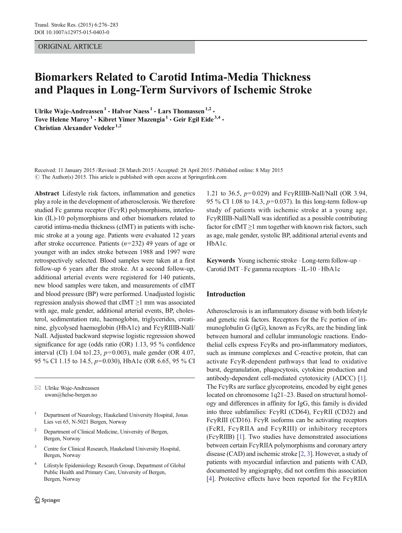#### ORIGINAL ARTICLE

# Biomarkers Related to Carotid Intima-Media Thickness and Plaques in Long-Term Survivors of Ischemic Stroke

Ulrike Waje-Andreassen<sup>1</sup>  $\cdot$  Halvor Naess<sup>1</sup>  $\cdot$  Lars Thomassen<sup>1,2</sup>  $\cdot$ Tove Helene Maroy<sup>1</sup> • Kibret Yimer Mazengia<sup>1</sup> • Geir Egil Eide<sup>3,4</sup> • Christian Alexander Vedeler<sup>1,2</sup>

Received: 11 January 2015 /Revised: 28 March 2015 /Accepted: 28 April 2015 / Published online: 8 May 2015  $\odot$  The Author(s) 2015. This article is published with open access at Springerlink.com

Abstract Lifestyle risk factors, inflammation and genetics play a role in the development of atherosclerosis. We therefore studied Fc gamma receptor (FcγR) polymorphisms, interleukin (IL)-10 polymorphisms and other biomarkers related to carotid intima-media thickness (cIMT) in patients with ischemic stroke at a young age. Patients were evaluated 12 years after stroke occurrence. Patients  $(n=232)$  49 years of age or younger with an index stroke between 1988 and 1997 were retrospectively selected. Blood samples were taken at a first follow-up 6 years after the stroke. At a second follow-up, additional arterial events were registered for 140 patients, new blood samples were taken, and measurements of cIMT and blood pressure (BP) were performed. Unadjusted logistic regression analysis showed that  $cIMT \geq 1$  mm was associated with age, male gender, additional arterial events, BP, cholesterol, sedimentation rate, haemoglobin, triglycerides, creatinine, glycolysed haemoglobin (HbA1c) and FcγRIIIB-NaII/ NaII. Adjusted backward stepwise logistic regression showed significance for age (odds ratio (OR) 1.13, 95 % confidence interval (CI) 1.04 to1.23,  $p=0.003$ ), male gender (OR 4.07, 95 % CI 1.15 to 14.5, p=0.030), HbA1c (OR 6.65, 95 % CI

 $\boxtimes$  Ulrike Waje-Andreassen uwan@helse-bergen.no

- <sup>1</sup> Department of Neurology, Haukeland University Hospital, Jonas Lies vei 65, N-5021 Bergen, Norway
- <sup>2</sup> Department of Clinical Medicine, University of Bergen, Bergen, Norway
- Centre for Clinical Research, Haukeland University Hospital, Bergen, Norway
- Lifestyle Epidemiology Research Group, Department of Global Public Health and Primary Care, University of Bergen, Bergen, Norway

1.21 to 36.5,  $p=0.029$ ) and FcγRIIIB-NaII/NaII (OR 3.94, 95 % CI 1.08 to 14.3,  $p=0.037$ ). In this long-term follow-up study of patients with ischemic stroke at a young age, FcγRIIIB-NaII/NaII was identified as a possible contributing factor for cIMT  $\geq$ 1 mm together with known risk factors, such as age, male gender, systolic BP, additional arterial events and HbA1c.

Keywords Young ischemic stroke  $\cdot$  Long-term follow-up  $\cdot$ Carotid IMT . Fc gamma receptors . IL-10 . HbA1c

#### Introduction

Atherosclerosis is an inflammatory disease with both lifestyle and genetic risk factors. Receptors for the Fc portion of immunoglobulin G (IgG), known as  $Fc\gamma Rs$ , are the binding link between humoral and cellular immunologic reactions. Endothelial cells express  $Fc\gamma Rs$  and pro-inflammatory mediators, such as immune complexes and C-reactive protein, that can activate FcγR-dependent pathways that lead to oxidative burst, degranulation, phagocytosis, cytokine production and antibody-dependent cell-mediated cytotoxicity (ADCC) [[1\]](#page-6-0). The  $Fc\gamma$ Rs are surface glycoproteins, encoded by eight genes located on chromosome 1q21–23. Based on structural homology and differences in affinity for IgG, this family is divided into three subfamilies: FcγRI (CD64), FcγRII (CD32) and FcγRIII (CD16). FcγR isoforms can be activating receptors (FcRI, FcγRIIA and FcγRIII) or inhibitory receptors (FcγRIIB) [\[1](#page-6-0)]. Two studies have demonstrated associations between certain FcγRIIA polymorphisms and coronary artery disease (CAD) and ischemic stroke [[2,](#page-6-0) [3\]](#page-6-0). However, a study of patients with myocardial infarction and patients with CAD, documented by angiography, did not confirm this association [\[4](#page-6-0)]. Protective effects have been reported for the FcγRIIA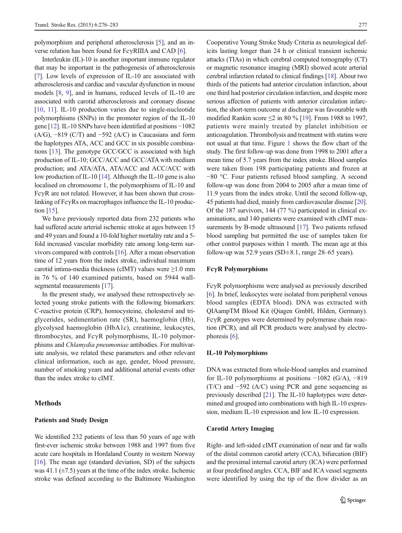polymorphism and peripheral atherosclerosis [\[5](#page-6-0)], and an inverse relation has been found for FcγRIIIA and CAD [\[6](#page-7-0)].

Interleukin (IL)-10 is another important immune regulator that may be important in the pathogenesis of atherosclerosis [\[7](#page-7-0)]. Low levels of expression of IL-10 are associated with atherosclerosis and cardiac and vascular dysfunction in mouse models [\[8](#page-7-0), [9](#page-7-0)], and in humans, reduced levels of IL-10 are associated with carotid atherosclerosis and coronary disease [\[10](#page-7-0), [11](#page-7-0)]. IL-10 production varies due to single-nucleotide polymorphisms (SNPs) in the promoter region of the IL-10 gene [\[12](#page-7-0)]. IL-10 SNPs have been identified at positions −1082 (A/G),  $-819$  (C/T) and  $-592$  (A/C) in Caucasians and form the haplotypes ATA, ACC and GCC in six possible combinations [\[13](#page-7-0)]. The genotype GCC/GCC is associated with high production of IL-10; GCC/ACC and GCC/ATA with medium production; and ATA/ATA, ATA/ACC and ACC/ACC with low production of IL-10 [[14](#page-7-0)]. Although the IL-10 gene is also localised on chromosome 1, the polymorphisms of IL-10 and FcγR are not related. However, it has been shown that crosslinking of FcγRs on macrophages influence the IL-10 production [[15\]](#page-7-0).

We have previously reported data from 232 patients who had suffered acute arterial ischemic stroke at ages between 15 and 49 years and found a 10-fold higher mortality rate and a 5 fold increased vascular morbidity rate among long-term survivors compared with controls [\[16\]](#page-7-0). After a mean observation time of 12 years from the index stroke, individual maximum carotid intima-media thickness (cIMT) values were ≥1.0 mm in 76 % of 140 examined patients, based on 5944 wallsegmental measurements [\[17\]](#page-7-0).

In the present study, we analysed these retrospectively selected young stroke patients with the following biomarkers: C-reactive protein (CRP), homocysteine, cholesterol and triglycerides, sedimentation rate (SR), haemoglobin (Hb), glycolysed haemoglobin (HbA1c), creatinine, leukocytes, thrombocytes, and FcγR polymorphisms, IL-10 polymorphisms and Chlamydia pneumoniae antibodies. For multivariate analysis, we related these parameters and other relevant clinical information, such as age, gender, blood pressure, number of smoking years and additional arterial events other than the index stroke to cIMT.

#### Methods

#### Patients and Study Design

We identified 232 patients of less than 50 years of age with first-ever ischemic stroke between 1988 and 1997 from five acute care hospitals in Hordaland County in western Norway [\[16\]](#page-7-0). The mean age (standard deviation, SD) of the subjects was 41.1  $(\pm 7.5)$  years at the time of the index stroke. Ischemic stroke was defined according to the Baltimore Washington Cooperative Young Stroke Study Criteria as neurological deficits lasting longer than 24 h or clinical transient ischemic attacks (TIAs) in which cerebral computed tomography (CT) or magnetic resonance imaging (MRI) showed acute arterial cerebral infarction related to clinical findings [\[18\]](#page-7-0). About two thirds of the patients had anterior circulation infarction, about one third had posterior circulation infarction, and despite more serious affection of patients with anterior circulation infarction, the short-term outcome at discharge was favourable with modified Rankin score  $\leq$ 2 in 80 % [[19](#page-7-0)]. From 1988 to 1997, patients were mainly treated by platelet inhibition or anticoagulation. Thrombolysis and treatment with statins were not usual at that time. Figure [1](#page-2-0) shows the flow chart of the study. The first follow-up was done from 1998 to 2001 after a mean time of 5.7 years from the index stroke. Blood samples were taken from 198 participating patients and frozen at −80 °C. Four patients refused blood sampling. A second follow-up was done from 2004 to 2005 after a mean time of 11.9 years from the index stroke. Until the second follow-up, 45 patients had died, mainly from cardiovascular disease [[20\]](#page-7-0). Of the 187 survivors, 144 (77 %) participated in clinical examinations, and 140 patients were examined with cIMT mea-surements by B-mode ultrasound [[17](#page-7-0)]. Two patients refused blood sampling but permitted the use of samples taken for other control purposes within 1 month. The mean age at this follow-up was 52.9 years (SD $\pm$ 8.1, range 28–65 years).

#### FcγR Polymorphisms

FcγR polymorphisms were analysed as previously described [\[6](#page-7-0)]. In brief, leukocytes were isolated from peripheral venous blood samples (EDTA blood). DNA was extracted with QIAampTM Blood Kit (Qiagen GmbH, Hilden, Germany). FcγR genotypes were determined by polymerase chain reaction (PCR), and all PCR products were analysed by electrophoresis [\[6](#page-7-0)].

#### IL-10 Polymorphisms

DNA was extracted from whole-blood samples and examined for IL-10 polymorphisms at positions −1082 (G/A), −819  $(T/C)$  and  $-592$  (A/C) using PCR and gene sequencing as previously described [\[21](#page-7-0)]. The IL-10 haplotypes were determined and grouped into combinations with high IL-10 expression, medium IL-10 expression and low IL-10 expression.

#### Carotid Artery Imaging

Right- and left-sided cIMT examination of near and far walls of the distal common carotid artery (CCA), bifurcation (BIF) and the proximal internal carotid artery (ICA) were performed at four predefined angles. CCA, BIF and ICA vessel segments were identified by using the tip of the flow divider as an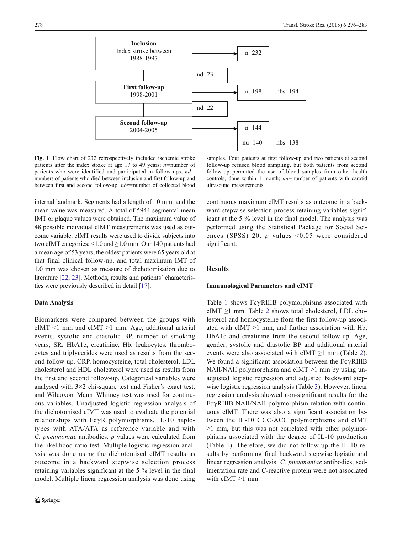<span id="page-2-0"></span>

Fig. 1 Flow chart of 232 retrospectively included ischemic stroke patients after the index stroke at age 17 to 49 years;  $n$ =number of patients who were identified and participated in follow-ups,  $nd=$ numbers of patients who died between inclusion and first follow-up and between first and second follow-up, nbs=number of collected blood

samples. Four patients at first follow-up and two patients at second follow-up refused blood sampling, but both patients from second follow-up permitted the use of blood samples from other health controls, done within 1 month;  $nu$ =number of patients with carotid ultrasound measurements

internal landmark. Segments had a length of 10 mm, and the mean value was measured. A total of 5944 segmental mean IMT or plaque values were obtained. The maximum value of 48 possible individual cIMT measurements was used as outcome variable. cIMT results were used to divide subjects into two cIMT categories: <1.0 and ≥1.0 mm. Our 140 patients had a mean age of 53 years, the oldest patients were 65 years old at that final clinical follow-up, and total maximum IMT of 1.0 mm was chosen as measure of dichotomisation due to literature [\[22](#page-7-0), [23](#page-7-0)]. Methods, results and patients' characteristics were previously described in detail [[17](#page-7-0)].

#### Data Analysis

Biomarkers were compared between the groups with cIMT <1 mm and cIMT  $\geq$ 1 mm. Age, additional arterial events, systolic and diastolic BP, number of smoking years, SR, HbA1c, creatinine, Hb, leukocytes, thrombocytes and triglycerides were used as results from the second follow-up. CRP, homocysteine, total cholesterol, LDL cholesterol and HDL cholesterol were used as results from the first and second follow-up. Categorical variables were analysed with 3×2 chi-square test and Fisher's exact test, and Wilcoxon–Mann–Whitney test was used for continuous variables. Unadjusted logistic regression analysis of the dichotomised cIMT was used to evaluate the potential relationships with FcγR polymorphisms, IL-10 haplotypes with ATA/ATA as reference variable and with C. pneumoniae antibodies. p values were calculated from the likelihood ratio test. Multiple logistic regression analysis was done using the dichotomised cIMT results as outcome in a backward stepwise selection process retaining variables significant at the 5 % level in the final model. Multiple linear regression analysis was done using

continuous maximum cIMT results as outcome in a backward stepwise selection process retaining variables significant at the 5 % level in the final model. The analysis was performed using the Statistical Package for Social Sciences (SPSS) 20. *p* values  $\leq 0.05$  were considered significant.

## **Results**

#### Immunological Parameters and cIMT

Table [1](#page-3-0) shows FcγRIIIB polymorphisms associated with cIMT  $\geq$ 1 mm. Table [2](#page-4-0) shows total cholesterol, LDL cholesterol and homocysteine from the first follow-up associated with cIMT  $\geq$ 1 mm, and further association with Hb, HbA1c and creatinine from the second follow-up. Age, gender, systolic and diastolic BP and additional arterial events were also associated with cIMT  $\geq$ 1 mm (Table [2](#page-4-0)). We found a significant association between the  $Fc\gamma$ RIIIB NAII/NAII polymorphism and cIMT  $\geq$ 1 mm by using unadjusted logistic regression and adjusted backward stepwise logistic regression analysis (Table [3](#page-5-0)). However, linear regression analysis showed non-significant results for the FcγRIIIB NAII/NAII polymorphism relation with continuous cIMT. There was also a significant association between the IL-10 GCC/ACC polymorphisms and cIMT  $\geq$ 1 mm, but this was not correlated with other polymorphisms associated with the degree of IL-10 production (Table [1\)](#page-3-0). Therefore, we did not follow up the IL-10 results by performing final backward stepwise logistic and linear regression analysis. C. pneumoniae antibodies, sedimentation rate and C-reactive protein were not associated with  $cIMT \geq 1$  mm.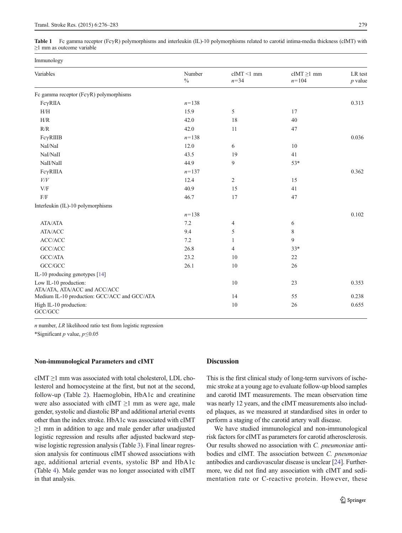<span id="page-3-0"></span>Table 1 Fc gamma receptor (FcγR) polymorphisms and interleukin (IL)-10 polymorphisms related to carotid intima-media thickness (cIMT) with ≥1 mm as outcome variable

| Immunology                                            |                |                           |                              |                      |  |
|-------------------------------------------------------|----------------|---------------------------|------------------------------|----------------------|--|
| Variables                                             | Number<br>$\%$ | $cIMT < 1$ mm<br>$n = 34$ | $cIMT \ge 1$ mm<br>$n = 104$ | LR test<br>$p$ value |  |
| Fc gamma receptor ( $Fc\gamma R$ ) polymorphisms      |                |                           |                              |                      |  |
| $Fc\gamma RIIA$                                       | $n = 138$      |                           |                              | 0.313                |  |
| H/H                                                   | 15.9           | 5                         | 17                           |                      |  |
| H/R                                                   | 42.0           | 18                        | 40                           |                      |  |
| R/R                                                   | 42.0           | 11                        | 47                           |                      |  |
| FcγRIIIB                                              | $n = 138$      |                           |                              | 0.036                |  |
| NaI/NaI                                               | 12.0           | 6                         | 10                           |                      |  |
| NaI/NaII                                              | 43.5           | 19                        | 41                           |                      |  |
| NaII/NaII                                             | 44.9           | 9                         | $53*$                        |                      |  |
| $Fc\gamma RIIIA$                                      | $n = 137$      |                           |                              | 0.362                |  |
| V/V                                                   | 12.4           | 2                         | 15                           |                      |  |
| V/F                                                   | 40.9           | 15                        | 41                           |                      |  |
| F/F                                                   | 46.7           | 17                        | 47                           |                      |  |
| Interleukin (IL)-10 polymorphisms                     |                |                           |                              |                      |  |
|                                                       | $n = 138$      |                           |                              | 0.102                |  |
| ATA/ATA                                               | 7.2            | 4                         | 6                            |                      |  |
| ATA/ACC                                               | 9.4            | 5                         | 8                            |                      |  |
| ACC/ACC                                               | 7.2            | 1                         | 9                            |                      |  |
| GCC/ACC                                               | 26.8           | $\overline{4}$            | $33*$                        |                      |  |
| GCC/ATA                                               | 23.2           | 10                        | 22                           |                      |  |
| $\mathrm{GCC/GCC}$                                    | 26.1           | 10                        | 26                           |                      |  |
| IL-10 producing genotypes [14]                        |                |                           |                              |                      |  |
| Low IL-10 production:<br>ATA/ATA, ATA/ACC and ACC/ACC |                | $10\,$                    | 23                           | 0.353                |  |
| Medium IL-10 production: GCC/ACC and GCC/ATA          |                | 14                        | 55                           | 0.238                |  |
| High IL-10 production:<br>GCC/GCC                     |                | 10                        | 26                           | 0.655                |  |

 $n$  number,  $LR$  likelihood ratio test from logistic regression

\*Significant  $p$  value,  $p \le 0.05$ 

#### Non-immunological Parameters and cIMT

 $cIMT \ge 1$  mm was associated with total cholesterol, LDL cholesterol and homocysteine at the first, but not at the second, follow-up (Table [2](#page-4-0)). Haemoglobin, HbA1c and creatinine were also associated with cIMT  $\geq$ 1 mm as were age, male gender, systolic and diastolic BP and additional arterial events other than the index stroke. HbA1c was associated with cIMT ≥1 mm in addition to age and male gender after unadjusted logistic regression and results after adjusted backward step-wise logistic regression analysis (Table [3](#page-5-0)). Final linear regression analysis for continuous cIMT showed associations with age, additional arterial events, systolic BP and HbA1c (Table [4\)](#page-5-0). Male gender was no longer associated with cIMT in that analysis.

## Discussion

This is the first clinical study of long-term survivors of ischemic stroke at a young age to evaluate follow-up blood samples and carotid IMT measurements. The mean observation time was nearly 12 years, and the cIMT measurements also included plaques, as we measured at standardised sites in order to perform a staging of the carotid artery wall disease.

We have studied immunological and non-immunological risk factors for cIMT as parameters for carotid atherosclerosis. Our results showed no association with C. pneumoniae antibodies and cIMT. The association between C. pneumoniae antibodies and cardiovascular disease is unclear [\[24](#page-7-0)]. Furthermore, we did not find any association with cIMT and sedimentation rate or C-reactive protein. However, these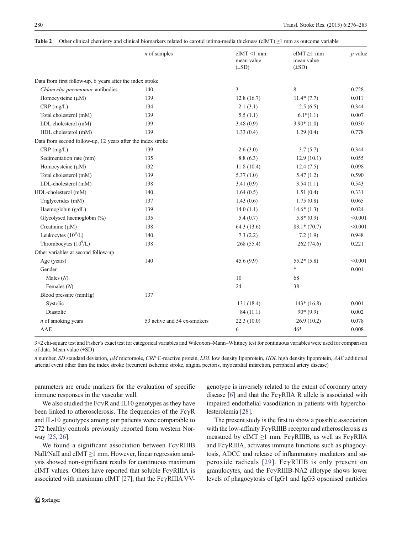|                                                             | $n$ of samples              | $cIMT \le 1$ mm<br>mean value<br>$(\pm SD)$ | $cIMT \ge 1$ mm<br>mean value<br>$(\pm SD)$ | $p$ value |
|-------------------------------------------------------------|-----------------------------|---------------------------------------------|---------------------------------------------|-----------|
| Data from first follow-up, 6 years after the index stroke   |                             |                                             |                                             |           |
| Chlamydia pneumoniae antibodies                             | 140                         | 3                                           | 8                                           | 0.728     |
| Homocysteine $(\mu M)$                                      | 139                         | 12.8(16.7)                                  | $11.4*(7.7)$                                | 0.011     |
| $CRP$ (mg/L)                                                | 134                         | 2.1(3.1)                                    | 2.5(6.5)                                    | 0.344     |
| Total cholesterol (mM)                                      | 139                         | 5.5(1.1)                                    | $6.1*(1.1)$                                 | 0.007     |
| LDL cholesterol (mM)                                        | 139                         | 3.48(0.9)                                   | $3.90*(1.0)$                                | 0.030     |
| HDL cholesterol (mM)                                        | 139                         | 1.33(0.4)                                   | 1.29(0.4)                                   | 0.778     |
| Data from second follow-up, 12 years after the index stroke |                             |                                             |                                             |           |
| $CRP$ (mg/L)                                                | 139                         | 2.6(3.0)                                    | 3.7(5.7)                                    | 0.344     |
| Sedimentation rate (mm)                                     | 135                         | 8.8(6.3)                                    | 12.9(10.1)                                  | 0.055     |
| Homocysteine $(\mu M)$                                      | 132                         | 11.8(10.4)                                  | 12.4(7.5)                                   | 0.098     |
| Total cholesterol (mM)                                      | 139                         | 5.37(1.0)                                   | 5.47(1.2)                                   | 0.590     |
| LDL-cholesterol (mM)                                        | 138                         | 3.41(0.9)                                   | 3.54(1.1)                                   | 0.543     |
| HDL-cholesterol (mM)                                        | 140                         | 1.64(0.5)                                   | 1.51(0.4)                                   | 0.331     |
| Triglycerides (mM)                                          | 137                         | 1.43(0.6)                                   | 1.75(0.8)                                   | 0.065     |
| Haemoglobin (g/dL)                                          | 139                         | 14.0(1.1)                                   | $14.6*(1.3)$                                | 0.024     |
| Glycolysed haemoglobin (%)                                  | 135                         | 5.4(0.7)                                    | $5.8*(0.9)$                                 | < 0.001   |
| Creatinine $(\mu M)$                                        | 138                         | 64.3 (13.6)                                 | $83.1*(70.7)$                               | < 0.001   |
| Leukocytes $(10^9/L)$                                       | 140                         | 7.3(2.2)                                    | 7.2(1.9)                                    | 0.948     |
| Thrombocytes $(10^9/L)$                                     | 138                         | 268 (55.4)                                  | 262 (74.6)                                  | 0.221     |
| Other variables at second follow-up                         |                             |                                             |                                             |           |
| Age (years)                                                 | 140                         | 45.6(9.9)                                   | $55.2*(5.8)$                                | < 0.001   |
| Gender                                                      |                             |                                             | $\ast$                                      | 0.001     |
| Males $(N)$                                                 |                             | 10                                          | 68                                          |           |
| Females $(N)$                                               |                             | 24                                          | 38                                          |           |
| Blood pressure (mmHg)                                       | 137                         |                                             |                                             |           |
| Systolic                                                    |                             | 131 (18.4)                                  | $143*(16.8)$                                | 0.001     |
| Diastolic                                                   |                             | 84(11.1)                                    | $90*(9.9)$                                  | 0.002     |
| $n$ of smoking years                                        | 53 active and 54 ex-smokers | 22.3(10.0)                                  | 26.9(10.2)                                  | 0.078     |
| AAE                                                         |                             | 6                                           | $46*$                                       | 0.008     |

<span id="page-4-0"></span>Table 2 Other clinical chemistry and clinical biomarkers related to carotid intima-media thickness (cIMT)  $\geq$ 1 mm as outcome variable

3×2 chi-square test and Fisher's exact test for categorical variables and Wilcoxon–Mann–Whitney test for continuous variables were used for comparison of data. Mean value (±SD)

n number, SD standard deviation,  $\mu$ M micromole, CRP C-reactive protein, LDL low density lipoprotein, HDL high density lipoprotein, AAE additional arterial event other than the index stroke (recurrent ischemic stroke, angina pectoris, myocardial infarction, peripheral artery disease)

parameters are crude markers for the evaluation of specific immune responses in the vascular wall.

We also studied the FcγR and IL10 genotypes as they have been linked to atherosclerosis. The frequencies of the FcγR and IL-10 genotypes among our patients were comparable to 272 healthy controls previously reported from western Norway [\[25,](#page-7-0) [26\]](#page-7-0).

We found a significant association between FcγRIIIB NaII/NaII and cIMT ≥1 mm. However, linear regression analysis showed non-significant results for continuous maximum cIMT values. Others have reported that soluble FcγRIIIA is associated with maximum cIMT [\[27\]](#page-7-0), that the FcγRIIIA VV- genotype is inversely related to the extent of coronary artery disease  $[6]$  $[6]$  and that the Fc $\gamma$ RIIA R allele is associated with impaired endothelial vasodilation in patients with hypercholesterolemia [[28\]](#page-7-0).

The present study is the first to show a possible association with the low-affinity FcγRIIIB receptor and atherosclerosis as measured by cIMT  $\geq$ 1 mm. FcγRIIIB, as well as FcγRIIA and FcγRIIIA, activates immune functions such as phagocytosis, ADCC and release of inflammatory mediators and superoxide radicals [[29\]](#page-7-0). FcγRIIIB is only present on granulocytes, and the FcγRIIIB-NA2 allotype shows lower levels of phagocytosis of IgG1 and IgG3 opsonised particles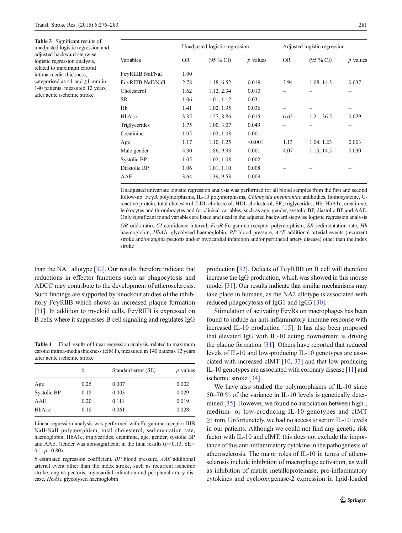<span id="page-5-0"></span>Table 3 Significant results of unadjusted logistic regression and adjusted backward stepwise logistic regression analysis, related to maximum carotid intima-media thickness, categorised as <1 and  $\geq$ 1 mm in 140 patients, measured 12 years after acute ischemic stroke

|                    |           | Unadjusted logistic regression |            |           | Adjusted logistic regression |                          |  |
|--------------------|-----------|--------------------------------|------------|-----------|------------------------------|--------------------------|--|
| Variables          | <b>OR</b> | $(95\% \text{ CI})$            | $p$ values | <b>OR</b> | $(95\% \text{ CI})$          | $p$ values               |  |
| FeyRIIIB NaI/NaI   | 1.00      |                                |            |           |                              |                          |  |
| FeyRIIIB NaII/NaII | 2.78      | 1.18, 6.52                     | 0.019      | 3.94      | 1.08, 14.3                   | 0.037                    |  |
| Cholesterol        | 1.62      | 1.12, 2.34                     | 0.010      |           |                              | -                        |  |
| SR.                | 1.06      | 1.01, 1.12                     | 0.031      |           |                              |                          |  |
| Hb                 | 1.41      | 1.02, 1.95                     | 0.036      |           |                              | -                        |  |
| HbA1c              | 3.35      | 1.27, 8.86                     | 0.015      | 6.65      | 1.21, 36.5                   | 0.029                    |  |
| Triglycerides      | 1.75      | 1.00, 3.07                     | 0.049      |           |                              |                          |  |
| Creatinine         | 1.05      | 1.02, 1.08                     | 0.001      |           |                              | $\overline{\phantom{0}}$ |  |
| Age                | 1.17      | 1.10, 1.25                     | < 0.001    | 1.13      | 1.04, 1.23                   | 0.003                    |  |
| Male gender        | 4.30      | 1.86, 9.93                     | 0.001      | 4.07      | 1.15, 14.5                   | 0.030                    |  |
| Systolic BP        | 1.05      | 1.02, 1.08                     | 0.002      |           |                              |                          |  |
| Diastolic BP       | 1.06      | 1.01, 1.10                     | 0.008      |           |                              |                          |  |
| AAE                | 3.64      | 1.39, 9.53                     | 0.009      |           |                              |                          |  |

Unadjusted univariate logistic regression analysis was performed for all blood samples from the first and second follow-up: FcγR polymorphisms, IL-10 polymorphisms, Chlamydia pneumoniae antibodies, homocysteine, Creactive protein, total cholesterol, LDL cholesterol, HDL cholesterol, SR, triglycerides, Hb, HbA1c, creatinine, leukocytes and thrombocytes and for clinical variables, such as age, gender, systolic BP, diastolic BP and AAE. Only significant found variables are listed and used in the adjusted backward stepwise logistic regression analysis

OR odds ratio, CI confidence interval,  $Fc\gamma R$  Fc gamma receptor polymorphism, SR sedimentation rate, Hb haemoglobin, HbA1c glycolysed haemoglobin, BP blood pressure, AAE additional arterial events (recurrent stroke and/or angina pectoris and/or myocardial infarction and/or peripheral artery disease) other than the index stroke

than the NA1 allotype [\[30](#page-7-0)]. Our results therefore indicate that reductions in effector functions such as phagocytosis and ADCC may contribute to the development of atherosclerosis. Such findings are supported by knockout studies of the inhibitory FcγRIIB which shows an increased plaque formation [\[31\]](#page-7-0). In addition to myeloid cells, FcγRIIB is expressed on B cells where it suppresses B cell signaling and regulates IgG

Table 4 Final results of linear regression analysis, related to maximum carotid intima-media thickness (cIMT), measured in 140 patients 12 years after acute ischemic stroke

|             | b    | Standard error (SE) | $p$ values |
|-------------|------|---------------------|------------|
| Age         | 0.25 | 0.007               | 0.002      |
| Systolic BP | 0.18 | 0.003               | 0.029      |
| AAE         | 0.20 | 0.111               | 0.019      |
| HbA1c       | 0.18 | 0.061               | 0.028      |
|             |      |                     |            |

Linear regression analysis was performed with Fc gamma receptor IIIB NaII/NaII polymorphism, total cholesterol, sedimentation rate, haemoglobin, HbA1c, triglycerides, creatinine, age, gender, systolic BP and AAE. Gender was non-significant in the final results ( $b$ =0.13, SE=  $0.1, p=0.80$ 

b estimated regression coefficient, BP blood pressure, AAE additional arterial event other than the index stroke, such as recurrent ischemic stroke, angina pectoris, myocardial infarction and peripheral artery disease, HbA1c glycolysed haemoglobin

production [\[32\]](#page-7-0). Defects of FcγRIIB on B cell will therefore increase the IgG production, which was showed in this mouse model [[31\]](#page-7-0). Our results indicate that similar mechanisms may take place in humans, as the NA2 allotype is associated with reduced phagocytosis of IgG1 and IgG3 [[30](#page-7-0)].

Stimulation of activating  $Fc\gamma Rs$  on macrophages has been found to induce an anti-inflammatory immune response with increased IL-10 production [\[15](#page-7-0)]. It has also been proposed that elevated IgG with IL-10 acting downstream is driving the plaque formation [\[31](#page-7-0)]. Others have reported that reduced levels of IL-10 and low-producing IL-10 genotypes are associated with increased cIMT [[10](#page-7-0), [33\]](#page-7-0) and that low-producing IL-10 genotypes are associated with coronary disease [\[11\]](#page-7-0) and ischemic stroke [\[34](#page-7-0)].

We have also studied the polymorphisms of IL-10 since 50–70 % of the variance in IL-10 levels is genetically determined [[35](#page-7-0)]. However, we found no association between high-, medium- or low-producing IL-10 genotypes and cIMT  $\geq$ 1 mm. Unfortunately, we had no access to serum IL-10 levels in our patients. Although we could not find any genetic risk factor with IL-10 and cIMT, this does not exclude the importance of this anti-inflammatory cytokine in the pathogenesis of atherosclerosis. The major roles of IL-10 in terms of atherosclerosis include inhibition of macrophage activation, as well as inhibition of matrix metalloproteinase, pro-inflammatory cytokines and cyclooxygenase-2 expression in lipid-loaded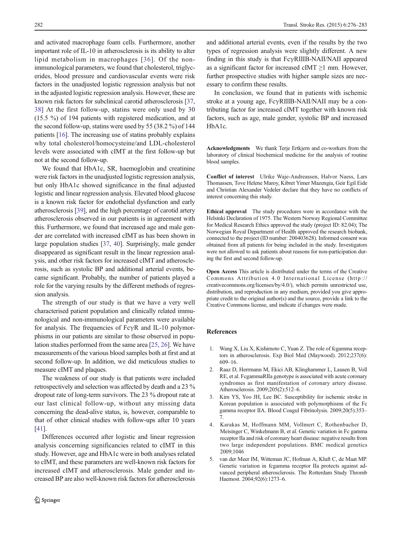<span id="page-6-0"></span>and activated macrophage foam cells. Furthermore, another important role of IL-10 in atherosclerosis is its ability to alter lipid metabolism in macrophages [[36\]](#page-7-0). Of the nonimmunological parameters, we found that cholesterol, triglycerides, blood pressure and cardiovascular events were risk factors in the unadjusted logistic regression analysis but not in the adjusted logistic regression analysis. However, these are known risk factors for subclinical carotid atherosclerosis [[37,](#page-7-0) [38](#page-7-0)] At the first follow-up, statins were only used by 30 (15.5 %) of 194 patients with registered medication, and at the second follow-up, statins were used by 55 (38.2 %) of 144 patients [\[16\]](#page-7-0). The increasing use of statins probably explains why total cholesterol/homocysteine/and LDL-cholesterol levels were associated with cIMT at the first follow-up but not at the second follow-up.

We found that HbA1c, SR, haemoglobin and creatinine were risk factors in the unadjusted logistic regression analysis, but only HbA1c showed significance in the final adjusted logistic and linear regression analysis. Elevated blood glucose is a known risk factor for endothelial dysfunction and early atherosclerosis [[39\]](#page-7-0), and the high percentage of carotid artery atherosclerosis observed in our patients is in agreement with this. Furthermore, we found that increased age and male gender are correlated with increased cIMT as has been shown in large population studies [\[37](#page-7-0), [40](#page-7-0)]. Surprisingly, male gender disappeared as significant result in the linear regression analysis, and other risk factors for increased cIMT and atherosclerosis, such as systolic BP and additional arterial events, became significant. Probably, the number of patients played a role for the varying results by the different methods of regression analysis.

The strength of our study is that we have a very well characterised patient population and clinically related immunological and non-immunological parameters were available for analysis. The frequencies of  $Fc\gamma R$  and IL-10 polymorphisms in our patients are similar to those observed in population studies performed from the same area [\[25,](#page-7-0) [26](#page-7-0)]. We have measurements of the various blood samples both at first and at second follow-up. In addition, we did meticulous studies to measure cIMT and plaques.

The weakness of our study is that patients were included retrospectively and selection was affected by death and a 23 % dropout rate of long-term survivors. The 23 % dropout rate at our last clinical follow-up, without any missing data concerning the dead-alive status, is, however, comparable to that of other clinical studies with follow-ups after 10 years [\[41\]](#page-7-0).

Differences occurred after logistic and linear regression analysis concerning significancies related to cIMT in this study. However, age and HbA1c were in both analyses related to cIMT, and these parameters are well-known risk factors for increased cIMT and atherosclerosis. Male gender and increased BP are also well-known risk factors for atherosclerosis

and additional arterial events, even if the results by the two types of regression analysis were slightly different. A new finding in this study is that FcγRIIIB-NAII/NAII appeared as a significant factor for increased cIMT  $\geq$ 1 mm. However, further prospective studies with higher sample sizes are necessary to confirm these results.

In conclusion, we found that in patients with ischemic stroke at a young age, FcγRIIIB-NAII/NAII may be a contributing factor for increased cIMT together with known risk factors, such as age, male gender, systolic BP and increased HbA1c.

Acknowledgments We thank Terje Ertkjern and co-workers from the laboratory of clinical biochemical medicine for the analysis of routine blood samples.

Conflict of interest Ulrike Waje-Andreassen, Halvor Naess, Lars Thomassen, Tove Helene Maroy, Kibret Yimer Mazengia, Geir Egil Eide and Christian Alexander Vedeler declare that they have no conflicts of interest concerning this study.

Ethical approval The study procedures were in accordance with the Helsinki Declaration of 1975. The Western Norway Regional Committee for Medical Research Ethics approved the study (project ID: 82.04); The Norwegian Royal Department of Health approved the research biobank, connected to the project (ID number: 200403628). Informed consent was obtained from all patients for being included in the study. Investigators were not allowed to ask patients about reasons for non-participation during the first and second follow-up.

Open Access This article is distributed under the terms of the Creative Commons Attribution 4.0 International License (http:// creativecommons.org/licenses/by/4.0/), which permits unrestricted use, distribution, and reproduction in any medium, provided you give appropriate credit to the original author(s) and the source, provide a link to the Creative Commons license, and indicate if changes were made.

### References

- 1. Wang X, Liu X, Kishimoto C, Yuan Z. The role of fcgamma receptors in atherosclerosis. Exp Biol Med (Maywood). 2012;237(6): 609–16.
- 2. Raaz D, Herrmann M, Ekici AB, Klinghammer L, Lausen B, Voll RE, et al. FcgammaRIIa genotype is associated with acute coronary syndromes as first manifestation of coronary artery disease. Atherosclerosis. 2009;205(2):512–6.
- 3. Kim YS, Yoo JH, Lee BC. Susceptibility for ischemic stroke in Korean population is associated with polymorphisms of the Fc gamma receptor IIA. Blood Coagul Fibrinolysis. 2009;20(5):353– 7.
- 4. Karakas M, Hoffmann MM, Vollmert C, Rothenbacher D, Meisinger C, Winkelmann B, et al. Genetic variation in Fc gamma receptor IIa and risk of coronary heart disease: negative results from two large independent populations. BMC medical genetics 2009;1046
- 5. van der Meer IM, Witteman JC, Hofman A, Kluft C, de Maat MP. Genetic variation in fcgamma receptor IIa protects against advanced peripheral atherosclerosis. The Rotterdam Study Thromb Haemost. 2004;92(6):1273–6.